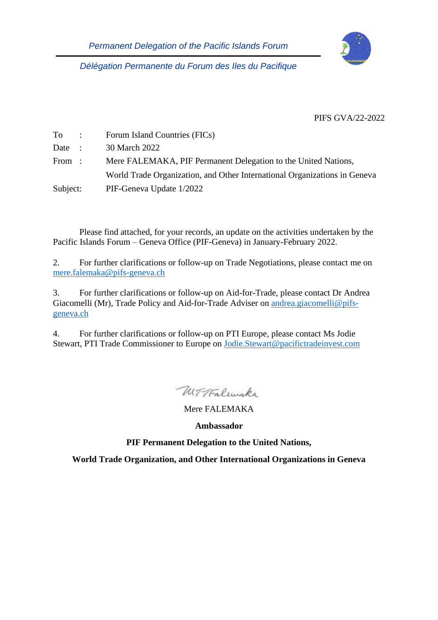

*Délégation Permanente du Forum des Iles du Pacifique*

PIFS GVA/22-2022

| $To$ :   | Forum Island Countries (FICs)                                             |
|----------|---------------------------------------------------------------------------|
| Date :   | 30 March 2022                                                             |
| From :   | Mere FALEMAKA, PIF Permanent Delegation to the United Nations,            |
|          | World Trade Organization, and Other International Organizations in Geneva |
| Subject: | PIF-Geneva Update 1/2022                                                  |

Please find attached, for your records, an update on the activities undertaken by the Pacific Islands Forum – Geneva Office (PIF-Geneva) in January-February 2022.

2. For further clarifications or follow-up on Trade Negotiations, please contact me on [mere.falemaka@pifs-geneva.ch](mailto:mere.falemaka@pifs-geneva.ch)

3. For further clarifications or follow-up on Aid-for-Trade, please contact Dr Andrea Giacomelli (Mr), Trade Policy and Aid-for-Trade Adviser on [andrea.giacomelli@pifs](mailto:andrea.giacomelli@pifs-geneva.ch)[geneva.ch](mailto:andrea.giacomelli@pifs-geneva.ch)

4. For further clarifications or follow-up on PTI Europe, please contact Ms Jodie Stewart, PTI Trade Commissioner to Europe on [Jodie.Stewart@pacifictradeinvest.com](mailto:Jodie.Stewart@pacifictradeinvest.com)

Withalmake

Mere FALEMAKA

**Ambassador**

**PIF Permanent Delegation to the United Nations,** 

**World Trade Organization, and Other International Organizations in Geneva**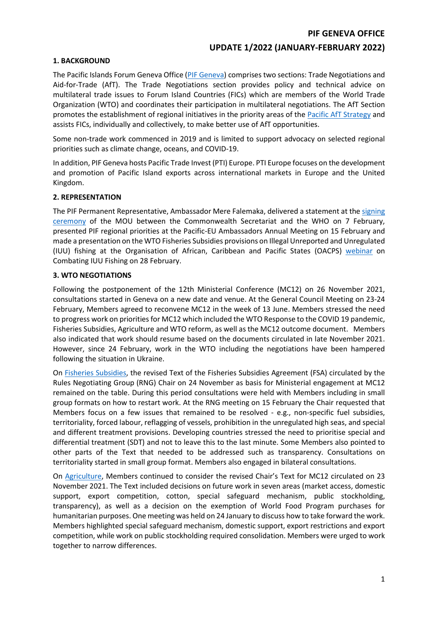#### **PIF GENEVA OFFICE**

## **UPDATE 1/2022 (JANUARY-FEBRUARY 2022)**

#### **1. BACKGROUND**

The Pacific Islands Forum Geneva Office (PIF [Geneva\)](https://www.forumsec.org/the-forum-delegation-in-geneva/) comprises two sections: Trade Negotiations and Aid-for-Trade (AfT). The Trade Negotiations section provides policy and technical advice on multilateral trade issues to Forum Island Countries (FICs) which are members of the World Trade Organization (WTO) and coordinates their participation in multilateral negotiations. The AfT Section promotes the establishment of regional initiatives in the priority areas of the [Pacific AfT Strategy](https://www.forumsec.org/wp-content/uploads/2020/04/Pacific-Aid-for-Trade-Strategy-2020-2025.pdf) and assists FICs, individually and collectively, to make better use of AfT opportunities.

Some non-trade work commenced in 2019 and is limited to support advocacy on selected regional priorities such as climate change, oceans, and COVID-19.

In addition, PIF Geneva hosts Pacific Trade Invest (PTI) Europe. PTI Europe focuses on the development and promotion of Pacific Island exports across international markets in Europe and the United Kingdom.

#### **2. REPRESENTATION**

The PIF Permanent Representative, Ambassador Mere Falemaka, delivered a statement at the signing [ceremony](https://www.who.int/news-room/events/detail/2022/02/07/default-calendar/signing-ceremony-who-to-sign-memorandum-of-understanding-with-the-commonwealth-secretariat) of the MOU between the Commonwealth Secretariat and the WHO on 7 February, presented PIF regional priorities at the Pacific-EU Ambassadors Annual Meeting on 15 February and made a presentation on the WTO Fisheries Subsidies provisions on Illegal Unreported and Unregulated (IUU) fishing at the Organisation of African, Caribbean and Pacific States (OACPS) [webinar](http://www.acp.int/content/oacps-seminar-brings-together-experts-discuss-iuu-fishing-within-members-oacps) on Combating IUU Fishing on 28 February.

#### **3. WTO NEGOTIATIONS**

Following the postponement of the 12th Ministerial Conference (MC12) on 26 November 2021, consultations started in Geneva on a new date and venue. At the General Council Meeting on 23-24 February, Members agreed to reconvene MC12 in the week of 13 June. Members stressed the need to progress work on priorities for MC12 which included the WTO Response to the COVID 19 pandemic, Fisheries Subsidies, Agriculture and WTO reform, as well as the MC12 outcome document. Members also indicated that work should resume based on the documents circulated in late November 2021. However, since 24 February, work in the WTO including the negotiations have been hampered following the situation in Ukraine.

On [Fisheries Subsidies,](https://www.wto.org/english/tratop_e/rulesneg_e/fish_e/fish_e.htm) the revised Text of the Fisheries Subsidies Agreement (FSA) circulated by the Rules Negotiating Group (RNG) Chair on 24 November as basis for Ministerial engagement at MC12 remained on the table. During this period consultations were held with Members including in small group formats on how to restart work. At the RNG meeting on 15 February the Chair requested that Members focus on a few issues that remained to be resolved - e.g., non-specific fuel subsidies, territoriality, forced labour, reflagging of vessels, prohibition in the unregulated high seas, and special and different treatment provisions. Developing countries stressed the need to prioritise special and differential treatment (SDT) and not to leave this to the last minute. Some Members also pointed to other parts of the Text that needed to be addressed such as transparency. Consultations on territoriality started in small group format. Members also engaged in bilateral consultations.

On [Agriculture,](https://www.wto.org/english/tratop_e/agric_e/negoti_e.htm) Members continued to consider the revised Chair's Text for MC12 circulated on 23 November 2021. The Text included decisions on future work in seven areas (market access, domestic support, export competition, cotton, special safeguard mechanism, public stockholding, transparency), as well as a decision on the exemption of World Food Program purchases for humanitarian purposes. One meeting was held on 24 January to discuss how to take forward the work. Members highlighted special safeguard mechanism, domestic support, export restrictions and export competition, while work on public stockholding required consolidation. Members were urged to work together to narrow differences.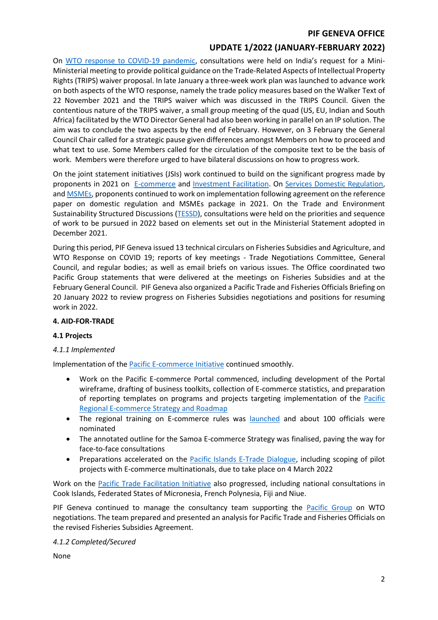### **PIF GENEVA OFFICE**

# **UPDATE 1/2022 (JANUARY-FEBRUARY 2022)**

On WTO response to [COVID-19 pandemic,](https://www.wto.org/english/tratop_e/covid19_e/covid19_e.htm) consultations were held on India's request for a Mini-Ministerial meeting to provide political guidance on the Trade-Related Aspects of Intellectual Property Rights (TRIPS) waiver proposal. In late January a three-week work plan was launched to advance work on both aspects of the WTO response, namely the trade policy measures based on the Walker Text of 22 November 2021 and the TRIPS waiver which was discussed in the TRIPS Council. Given the contentious nature of the TRIPS waiver, a small group meeting of the quad (US, EU, Indian and South Africa) facilitated by the WTO Director General had also been working in parallel on an IP solution. The aim was to conclude the two aspects by the end of February. However, on 3 February the General Council Chair called for a strategic pause given differences amongst Members on how to proceed and what text to use. Some Members called for the circulation of the composite text to be the basis of work. Members were therefore urged to have bilateral discussions on how to progress work.

On the joint statement initiatives (JSIs) work continued to build on the significant progress made by proponents in 2021 on [E-commerce](https://www.wto.org/english/tratop_e/ecom_e/ecom_e.htm) and [Investment Facilitation.](https://www.wto.org/english/tratop_e/invfac_public_e/invfac_e.htm) On [Services Domestic Regulation,](https://www.wto.org/english/news_e/archive_e/jssdr_arc_e.htm) and [MSMEs,](https://www.wto.org/english/tratop_e/msmes_e/msmes_e.htm) proponents continued to work on implementation following agreement on the reference paper on domestic regulation and MSMEs package in 2021. On the Trade and Environment Sustainability Structured Discussions [\(TESSD\)](https://www.wto.org/english/tratop_e/tessd_e/tessd_e.htm), consultations were held on the priorities and sequence of work to be pursued in 2022 based on elements set out in the Ministerial Statement adopted in December 2021.

During this period, PIF Geneva issued 13 technical circulars on Fisheries Subsidies and Agriculture, and WTO Response on COVID 19; reports of key meetings - Trade Negotiations Committee, General Council, and regular bodies; as well as email briefs on various issues. The Office coordinated two Pacific Group statements that were delivered at the meetings on Fisheries Subsidies and at the February General Council. PIF Geneva also organized a Pacific Trade and Fisheries Officials Briefing on 20 January 2022 to review progress on Fisheries Subsidies negotiations and positions for resuming work in 2022.

#### **4. AID-FOR-TRADE**

#### **4.1 Projects**

## *4.1.1 Implemented*

Implementation of the **Pacific E-commerce Initiative** continued smoothly.

- Work on the Pacific E-commerce Portal commenced, including development of the Portal wireframe, drafting of business toolkits, collection of E-commerce statistics, and preparation of reporting templates on programs and projects targeting implementation of the [Pacific](https://www.forumsec.org/wp-content/uploads/2021/02/Regional-Ecommerce-Strategy-Roadmap.pdf)  [Regional E-commerce Strategy and Roadmap](https://www.forumsec.org/wp-content/uploads/2021/02/Regional-Ecommerce-Strategy-Roadmap.pdf)
- The regional training on E-commerce rules was [launched](https://www.forumsec.org/2022/02/23/ecommar/) and about 100 officials were nominated
- The annotated outline for the Samoa E-commerce Strategy was finalised, paving the way for face-to-face consultations
- Preparations accelerated on the [Pacific Islands E-Trade Dialogue,](https://www.facebook.com/ForumSec/posts/4774804562557173) including scoping of pilot projects with E-commerce multinationals, due to take place on 4 March 2022

Work on the [Pacific Trade Facilitation Initiative](https://www.forumsec.org/2022/02/25/pacific-trade-facilitation-initiative/) also progressed, including national consultations in Cook Islands, Federated States of Micronesia, French Polynesia, Fiji and Niue.

PIF Geneva continued to manage the consultancy team supporting the [Pacific Group](https://www.wto.org/english/tratop_e/dda_e/negotiating_groups_e.htm#grp027) on WTO negotiations. The team prepared and presented an analysis for Pacific Trade and Fisheries Officials on the revised Fisheries Subsidies Agreement.

#### *4.1.2 Completed/Secured*

None